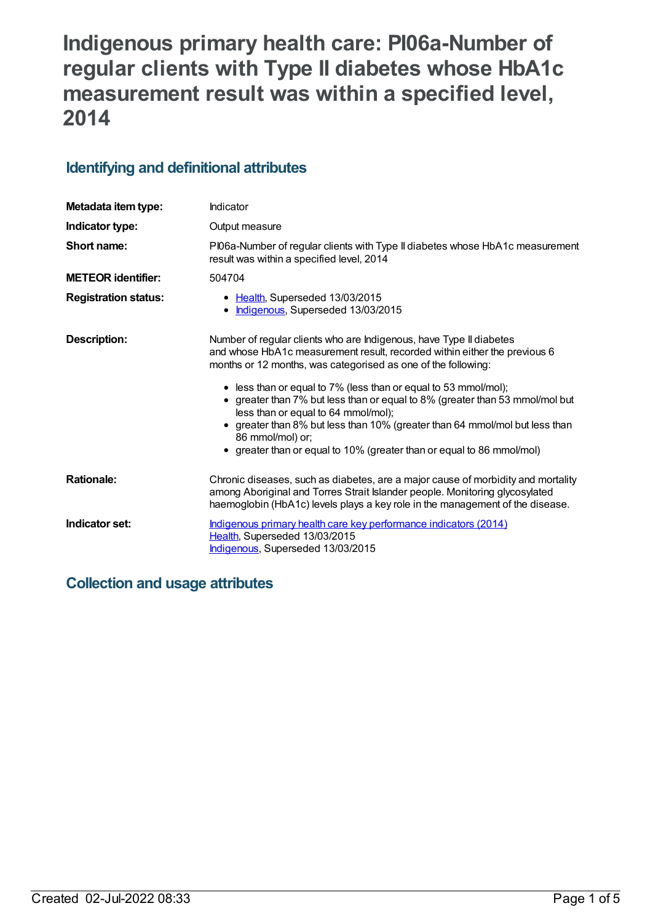# **Indigenous primary health care: PI06a-Number of regular clients with Type II diabetes whose HbA1c measurement result was within a specified level, 2014**

### **Identifying and definitional attributes**

| Metadata item type:         | Indicator                                                                                                                                                                                                                                                                                                                                                                                                   |  |
|-----------------------------|-------------------------------------------------------------------------------------------------------------------------------------------------------------------------------------------------------------------------------------------------------------------------------------------------------------------------------------------------------------------------------------------------------------|--|
| Indicator type:             | Output measure                                                                                                                                                                                                                                                                                                                                                                                              |  |
| Short name:                 | PI06a-Number of regular clients with Type II diabetes whose HbA1c measurement<br>result was within a specified level, 2014                                                                                                                                                                                                                                                                                  |  |
| <b>METEOR identifier:</b>   | 504704                                                                                                                                                                                                                                                                                                                                                                                                      |  |
| <b>Registration status:</b> | • Health, Superseded 13/03/2015<br>Indigenous, Superseded 13/03/2015<br>$\bullet$                                                                                                                                                                                                                                                                                                                           |  |
| Description:                | Number of regular clients who are Indigenous, have Type II diabetes<br>and whose HbA1c measurement result, recorded within either the previous 6<br>months or 12 months, was categorised as one of the following:<br>• less than or equal to 7% (less than or equal to 53 mmol/mol);<br>• greater than 7% but less than or equal to 8% (greater than 53 mmol/mol but<br>less than or equal to 64 mmol/mol); |  |
|                             | greater than 8% but less than 10% (greater than 64 mmol/mol but less than<br>86 mmol/mol) or;<br>• greater than or equal to 10% (greater than or equal to 86 mmol/mol)                                                                                                                                                                                                                                      |  |
| <b>Rationale:</b>           | Chronic diseases, such as diabetes, are a major cause of morbidity and mortality<br>among Aboriginal and Torres Strait Islander people. Monitoring glycosylated<br>haemoglobin (HbA1c) levels plays a key role in the management of the disease.                                                                                                                                                            |  |
| Indicator set:              | Indigenous primary health care key performance indicators (2014)<br>Health, Superseded 13/03/2015<br>Indigenous, Superseded 13/03/2015                                                                                                                                                                                                                                                                      |  |

# **Collection and usage attributes**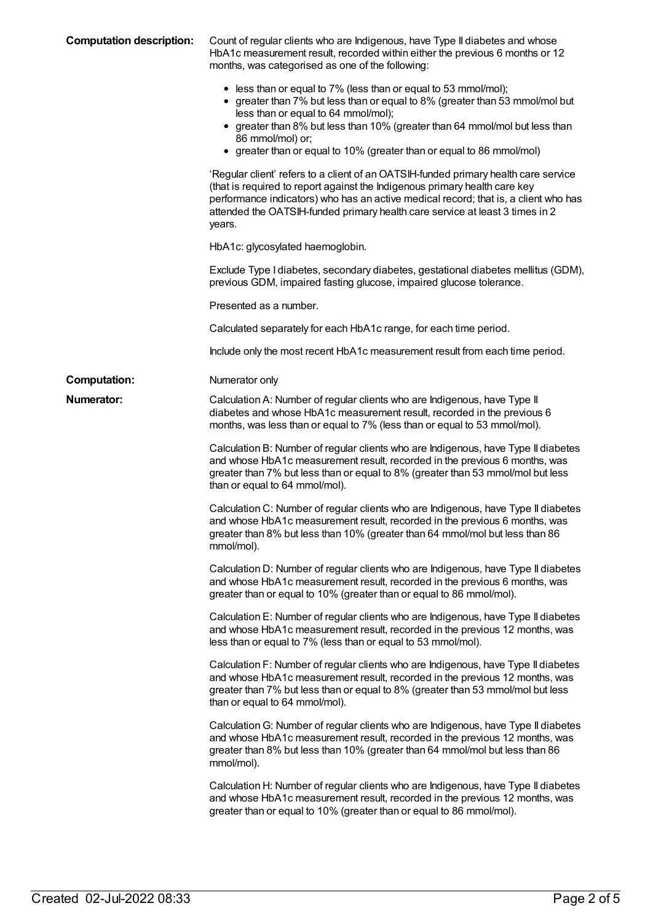| <b>Computation description:</b> | Count of regular clients who are Indigenous, have Type II diabetes and whose<br>HbA1c measurement result, recorded within either the previous 6 months or 12<br>months, was categorised as one of the following:                                                                                                                                                   |
|---------------------------------|--------------------------------------------------------------------------------------------------------------------------------------------------------------------------------------------------------------------------------------------------------------------------------------------------------------------------------------------------------------------|
|                                 | • less than or equal to 7% (less than or equal to 53 mmol/mol);<br>• greater than 7% but less than or equal to 8% (greater than 53 mmol/mol but<br>less than or equal to 64 mmol/mol);<br>• greater than 8% but less than 10% (greater than 64 mmol/mol but less than<br>86 mmol/mol) or;<br>• greater than or equal to 10% (greater than or equal to 86 mmol/mol) |
|                                 | 'Regular client' refers to a client of an OATSIH-funded primary health care service<br>(that is required to report against the Indigenous primary health care key<br>performance indicators) who has an active medical record; that is, a client who has<br>attended the OATSIH-funded primary health care service at least 3 times in 2<br>years.                 |
|                                 | HbA1c: glycosylated haemoglobin.                                                                                                                                                                                                                                                                                                                                   |
|                                 | Exclude Type I diabetes, secondary diabetes, gestational diabetes mellitus (GDM),<br>previous GDM, impaired fasting glucose, impaired glucose tolerance.                                                                                                                                                                                                           |
|                                 | Presented as a number.                                                                                                                                                                                                                                                                                                                                             |
|                                 | Calculated separately for each HbA1c range, for each time period.                                                                                                                                                                                                                                                                                                  |
|                                 | Include only the most recent HbA1c measurement result from each time period.                                                                                                                                                                                                                                                                                       |
| <b>Computation:</b>             | Numerator only                                                                                                                                                                                                                                                                                                                                                     |
| Numerator:                      | Calculation A: Number of regular clients who are Indigenous, have Type II<br>diabetes and whose HbA1c measurement result, recorded in the previous 6<br>months, was less than or equal to 7% (less than or equal to 53 mmol/mol).                                                                                                                                  |
|                                 | Calculation B: Number of regular clients who are Indigenous, have Type II diabetes<br>and whose HbA1c measurement result, recorded in the previous 6 months, was<br>greater than 7% but less than or equal to 8% (greater than 53 mmol/mol but less<br>than or equal to 64 mmol/mol).                                                                              |
|                                 | Calculation C: Number of regular clients who are Indigenous, have Type II diabetes<br>and whose HbA1c measurement result, recorded in the previous 6 months, was<br>greater than 8% but less than 10% (greater than 64 mmol/mol but less than 86<br>mmol/mol).                                                                                                     |
|                                 | Calculation D: Number of regular clients who are Indigenous, have Type II diabetes<br>and whose HbA1c measurement result, recorded in the previous 6 months, was<br>greater than or equal to 10% (greater than or equal to 86 mmol/mol).                                                                                                                           |
|                                 | Calculation E: Number of regular clients who are Indigenous, have Type II diabetes<br>and whose HbA1c measurement result, recorded in the previous 12 months, was<br>less than or equal to 7% (less than or equal to 53 mmol/mol).                                                                                                                                 |
|                                 | Calculation F: Number of regular clients who are Indigenous, have Type II diabetes<br>and whose HbA1c measurement result, recorded in the previous 12 months, was<br>greater than 7% but less than or equal to 8% (greater than 53 mmol/mol but less<br>than or equal to 64 mmol/mol).                                                                             |
|                                 | Calculation G: Number of regular clients who are Indigenous, have Type II diabetes<br>and whose HbA1c measurement result, recorded in the previous 12 months, was<br>greater than 8% but less than 10% (greater than 64 mmol/mol but less than 86<br>mmol/mol).                                                                                                    |
|                                 | Calculation H: Number of regular clients who are Indigenous, have Type II diabetes<br>and whose HbA1c measurement result, recorded in the previous 12 months, was<br>greater than or equal to 10% (greater than or equal to 86 mmol/mol).                                                                                                                          |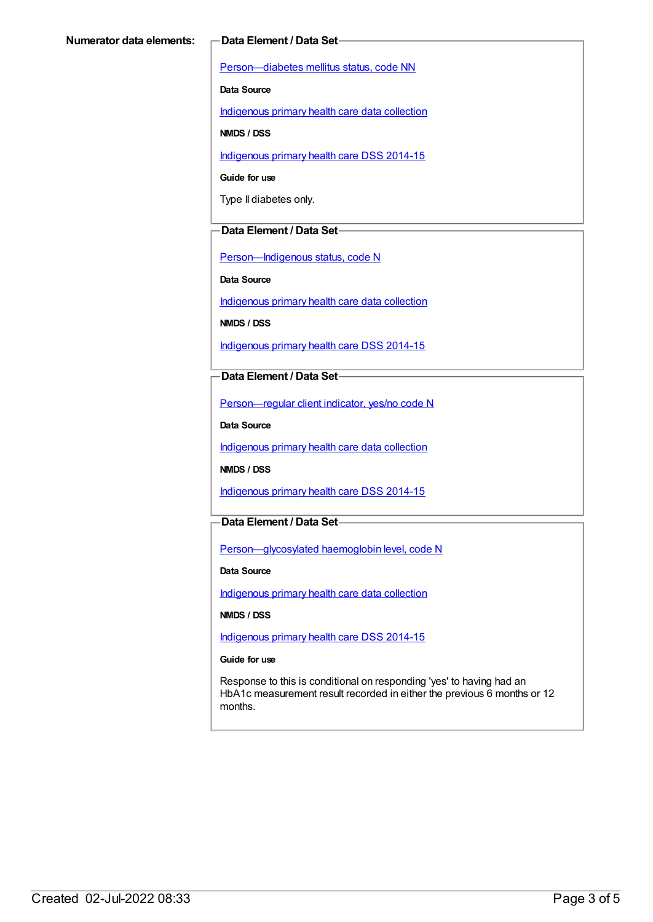[Person—diabetes](https://meteor.aihw.gov.au/content/270194) mellitus status, code NN

**Data Source**

[Indigenous](https://meteor.aihw.gov.au/content/430643) primary health care data collection

**NMDS / DSS**

[Indigenous](https://meteor.aihw.gov.au/content/504325) primary health care DSS 2014-15

**Guide for use**

Type II diabetes only.

#### **Data Element / Data Set**

[Person—Indigenous](https://meteor.aihw.gov.au/content/291036) status, code N

**Data Source**

[Indigenous](https://meteor.aihw.gov.au/content/430643) primary health care data collection

**NMDS / DSS**

[Indigenous](https://meteor.aihw.gov.au/content/504325) primary health care DSS 2014-15

#### **Data Element / Data Set**

[Person—regular](https://meteor.aihw.gov.au/content/436639) client indicator, yes/no code N

**Data Source**

[Indigenous](https://meteor.aihw.gov.au/content/430643) primary health care data collection

**NMDS / DSS**

[Indigenous](https://meteor.aihw.gov.au/content/504325) primary health care DSS 2014-15

### **Data Element / Data Set**

[Person—glycosylated](https://meteor.aihw.gov.au/content/589601) haemoglobin level, code N

**Data Source**

[Indigenous](https://meteor.aihw.gov.au/content/430643) primary health care data collection

**NMDS / DSS**

[Indigenous](https://meteor.aihw.gov.au/content/504325) primary health care DSS 2014-15

#### **Guide for use**

Response to this is conditional on responding 'yes' to having had an HbA1c measurement result recorded in either the previous 6 months or 12 months.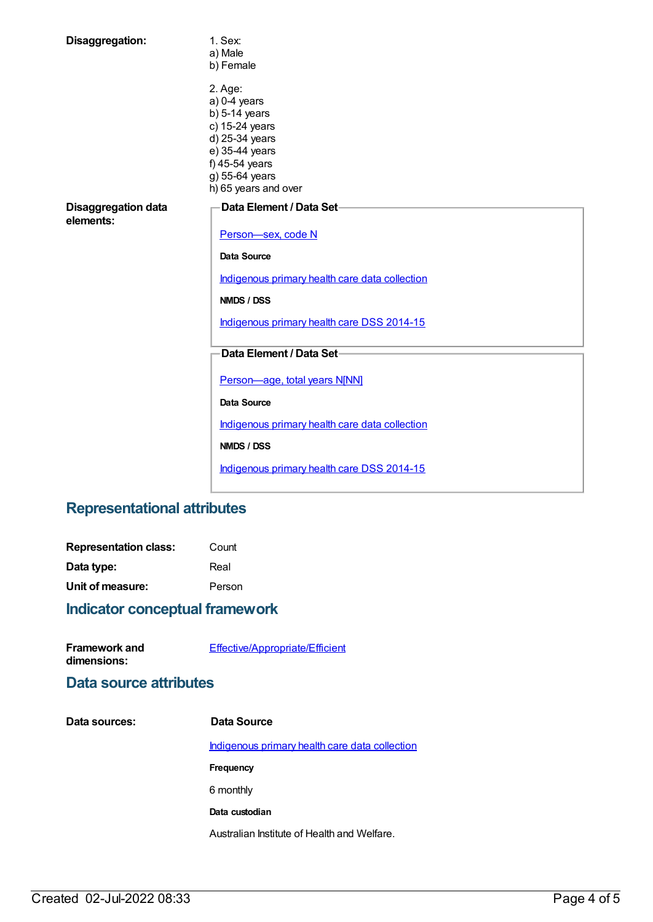| Disaggregation:                         | 1. Sex:<br>a) Male<br>b) Female                                                                                                                                |
|-----------------------------------------|----------------------------------------------------------------------------------------------------------------------------------------------------------------|
|                                         | 2. Age:<br>$a)$ 0-4 years<br>$b)$ 5-14 years<br>c) 15-24 years<br>d) 25-34 years<br>e) 35-44 years<br>f) 45-54 years<br>g) 55-64 years<br>h) 65 years and over |
| <b>Disaggregation data</b><br>elements: | Data Element / Data Set-<br>Person-sex, code N                                                                                                                 |
|                                         | Data Source                                                                                                                                                    |
|                                         | Indigenous primary health care data collection                                                                                                                 |
|                                         | NMDS / DSS                                                                                                                                                     |
|                                         | Indigenous primary health care DSS 2014-15                                                                                                                     |
|                                         | Data Element / Data Set-                                                                                                                                       |
|                                         | Person-age, total years N[NN]                                                                                                                                  |
|                                         | Data Source                                                                                                                                                    |
|                                         | Indigenous primary health care data collection                                                                                                                 |
|                                         | <b>NMDS / DSS</b>                                                                                                                                              |
|                                         | Indigenous primary health care DSS 2014-15                                                                                                                     |

# **Representational attributes**

| <b>Representation class:</b> | Count  |
|------------------------------|--------|
| Data type:                   | Real   |
| Unit of measure:             | Person |

# **Indicator conceptual framework**

| <b>Framework and</b> | Effective/Appropriate/Efficient |
|----------------------|---------------------------------|
| dimensions:          |                                 |

### **Data source attributes**

| Data sources: | Data Source                                    |
|---------------|------------------------------------------------|
|               | Indigenous primary health care data collection |
|               | Frequency                                      |
|               | 6 monthly                                      |
|               | Data custodian                                 |
|               | Australian Institute of Health and Welfare.    |